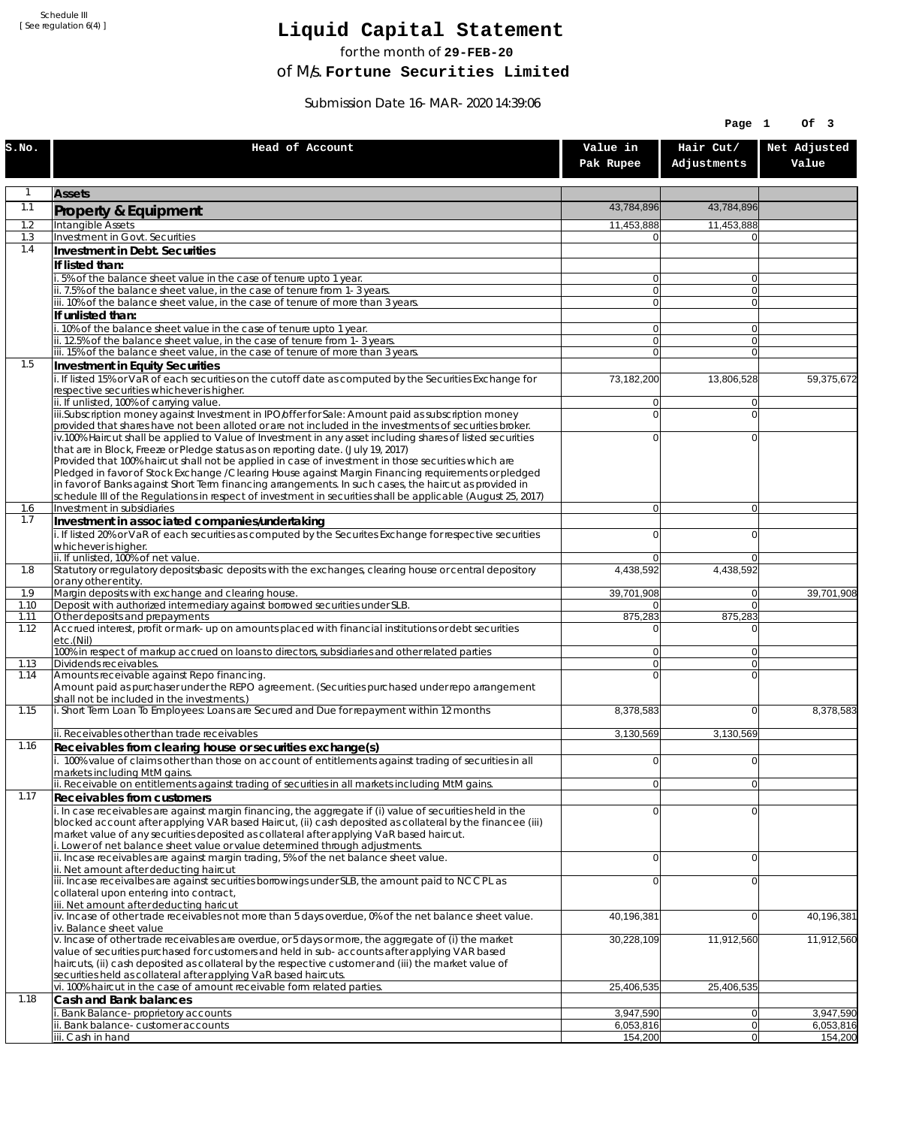Schedule III [ See regulation 6(4) ]

## **Liquid Capital Statement**

for the month of **29-FEB-20**

of M/s. **Fortune Securities Limited**

Submission Date 16-MAR-2020 14:39:06

|              |                                                                                                                                                                                                                        |                                  | Page 1                           | Of 3                   |
|--------------|------------------------------------------------------------------------------------------------------------------------------------------------------------------------------------------------------------------------|----------------------------------|----------------------------------|------------------------|
| S.NO.        | Head of Account                                                                                                                                                                                                        | Value in<br>Pak Rupee            | Hair Cut/<br>Adjustments         | Net Adjusted<br>Value  |
| $\mathbf{1}$ | <b>Assets</b>                                                                                                                                                                                                          |                                  |                                  |                        |
| 1.1          | Property & Equipment                                                                                                                                                                                                   | 43,784,896                       | 43,784,896                       |                        |
| 1.2          | Intangible Assets                                                                                                                                                                                                      | 11,453,888                       | 11,453,888                       |                        |
| 1.3<br>1.4   | Investment in Govt. Securities<br>Investment in Debt. Securities                                                                                                                                                       | 0                                | $\Omega$                         |                        |
|              | If listed than:                                                                                                                                                                                                        |                                  |                                  |                        |
|              | i. 5% of the balance sheet value in the case of tenure upto 1 year.                                                                                                                                                    | $\overline{0}$                   | $\overline{0}$                   |                        |
|              | ii. 7.5% of the balance sheet value, in the case of tenure from 1-3 years.<br>iii. 10% of the balance sheet value, in the case of tenure of more than 3 years.                                                         | $\overline{0}$<br>$\overline{0}$ | $\overline{0}$<br>$\overline{0}$ |                        |
|              | If unlisted than:                                                                                                                                                                                                      |                                  |                                  |                        |
|              | i. 10% of the balance sheet value in the case of tenure upto 1 year.                                                                                                                                                   | 0                                | $\Omega$                         |                        |
|              | ii. 12.5% of the balance sheet value, in the case of tenure from 1-3 years.<br>iii. 15% of the balance sheet value, in the case of tenure of more than 3 years.                                                        | $\overline{0}$<br>$\overline{0}$ | $\overline{0}$<br>$\Omega$       |                        |
| 1.5          | Investment in Equity Securities                                                                                                                                                                                        |                                  |                                  |                        |
|              | i. If listed 15% or VaR of each securities on the cutoff date as computed by the Securities Exchange for                                                                                                               | 73,182,200                       | 13,806,528                       | 59,375,672             |
|              | respective securities whichever is higher.<br>ii. If unlisted, 100% of carrying value.                                                                                                                                 | 0                                | $\Omega$                         |                        |
|              | iii.Subscription money against Investment in IPO/offer for Sale: Amount paid as subscription money                                                                                                                     | 0                                | $\Omega$                         |                        |
|              | provided that shares have not been alloted or are not included in the investments of securities broker.                                                                                                                |                                  | $\Omega$                         |                        |
|              | iv.100% Haircut shall be applied to Value of Investment in any asset including shares of listed securities<br>that are in Block, Freeze or Pledge status as on reporting date. (July 19, 2017)                         | 0                                |                                  |                        |
|              | Provided that 100% haircut shall not be applied in case of investment in those securities which are                                                                                                                    |                                  |                                  |                        |
|              | Pledged in favor of Stock Exchange / Clearing House against Margin Financing requirements or pledged<br>in favor of Banks against Short Term financing arrangements. In such cases, the haircut as provided in         |                                  |                                  |                        |
|              | schedule III of the Regulations in respect of investment in securities shall be applicable (August 25, 2017)                                                                                                           |                                  |                                  |                        |
| 1.6<br>1.7   | Investment in subsidiaries                                                                                                                                                                                             | $\overline{0}$                   | $\overline{0}$                   |                        |
|              | Investment in associated companies/undertaking<br>i. If listed 20% or VaR of each securities as computed by the Securites Exchange for respective securities                                                           | 0                                | $\Omega$                         |                        |
|              | whichever is higher.                                                                                                                                                                                                   |                                  |                                  |                        |
| 1.8          | ii. If unlisted, 100% of net value.<br>Statutory or regulatory deposits/basic deposits with the exchanges, clearing house or central depository                                                                        | 0<br>4,438,592                   | $\Omega$<br>4,438,592            |                        |
|              | or any other entity.                                                                                                                                                                                                   |                                  |                                  |                        |
| 1.9<br>1.10  | Margin deposits with exchange and clearing house.<br>Deposit with authorized intermediary against borrowed securities under SLB.                                                                                       | 39,701,908<br>0                  | 0 <br>$\overline{0}$             | 39,701,908             |
| 1.11         | Other deposits and prepayments                                                                                                                                                                                         | 875,283                          | 875,283                          |                        |
| 1.12         | Accrued interest, profit or mark-up on amounts placed with financial institutions or debt securities                                                                                                                   | 0                                | $\Omega$                         |                        |
|              | etc.(Nil)<br>100% in respect of markup accrued on loans to directors, subsidiaries and other related parties                                                                                                           | 0                                | $\Omega$                         |                        |
| 1.13         | Dividends receivables.                                                                                                                                                                                                 | $\overline{0}$                   | $\Omega$                         |                        |
| 1.14         | Amounts receivable against Repo financing.<br>Amount paid as purchaser under the REPO agreement. (Securities purchased under repo arrangement                                                                          | $\mathbf 0$                      | $\Omega$                         |                        |
|              | shall not be included in the investments.)                                                                                                                                                                             |                                  |                                  |                        |
| 1.15         | i. Short Term Loan To Employees: Loans are Secured and Due for repayment within 12 months                                                                                                                              | 8,378,583                        | $\overline{0}$                   | 8,378,583              |
|              | ii. Receivables other than trade receivables                                                                                                                                                                           | 3,130,569                        | 3,130,569                        |                        |
| 1.16         | Receivables from clearing house or securities exchange(s)                                                                                                                                                              |                                  |                                  |                        |
|              | i. 100% value of claims other than those on account of entitlements against trading of securities in all<br>markets including MtM gains.                                                                               | 0                                | 0                                |                        |
|              | ii. Receivable on entitlements against trading of securities in all markets including MtM gains.                                                                                                                       | $\overline{0}$                   | 0                                |                        |
| 1.17         | <b>Receivables from customers</b>                                                                                                                                                                                      |                                  |                                  |                        |
|              | i. In case receivables are against margin financing, the aggregate if (i) value of securities held in the<br>blocked account after applying VAR based Haircut, (ii) cash deposited as collateral by the financee (iii) | $\mathbf 0$                      | $\overline{0}$                   |                        |
|              | market value of any securities deposited as collateral after applying VaR based haircut.                                                                                                                               |                                  |                                  |                        |
|              | i. Lower of net balance sheet value or value determined through adjustments.<br>ii. Incase receivables are against margin trading, 5% of the net balance sheet value.                                                  | $\mathbf 0$                      | $\overline{0}$                   |                        |
|              | ii. Net amount after deducting haircut                                                                                                                                                                                 |                                  |                                  |                        |
|              | iii. Incase receivalbes are against securities borrowings under SLB, the amount paid to NCCPL as<br>collateral upon entering into contract,                                                                            | 0                                | $\Omega$                         |                        |
|              | iii. Net amount after deducting haricut                                                                                                                                                                                |                                  |                                  |                        |
|              | $iv.$ Incase of other trade receivables not more than 5 days overdue, 0% of the net balance sheet value.                                                                                                               | 40,196,381                       | $\overline{0}$                   | 40,196,381             |
|              | iv. Balance sheet value<br>v. Incase of other trade receivables are overdue, or 5 days or more, the aggregate of (i) the market                                                                                        | 30,228,109                       | 11,912,560                       | 11,912,560             |
|              | value of securities purchased for customers and held in sub-accounts after applying VAR based                                                                                                                          |                                  |                                  |                        |
|              | haircuts, (ii) cash deposited as collateral by the respective customer and (iii) the market value of<br>securities held as collateral after applying VaR based haircuts.                                               |                                  |                                  |                        |
|              | vi. 100% haircut in the case of amount receivable form related parties.                                                                                                                                                | 25,406,535                       | 25,406,535                       |                        |
| 1.18         | Cash and Bank balances                                                                                                                                                                                                 |                                  |                                  |                        |
|              | i. Bank Balance-proprietory accounts<br>ii. Bank balance-customer accounts                                                                                                                                             | 3,947,590<br>6,053,816           | 0 <br> 0                         | 3,947,590<br>6,053,816 |
|              | iii. Cash in hand                                                                                                                                                                                                      | 154,200                          | 0                                | 154,200                |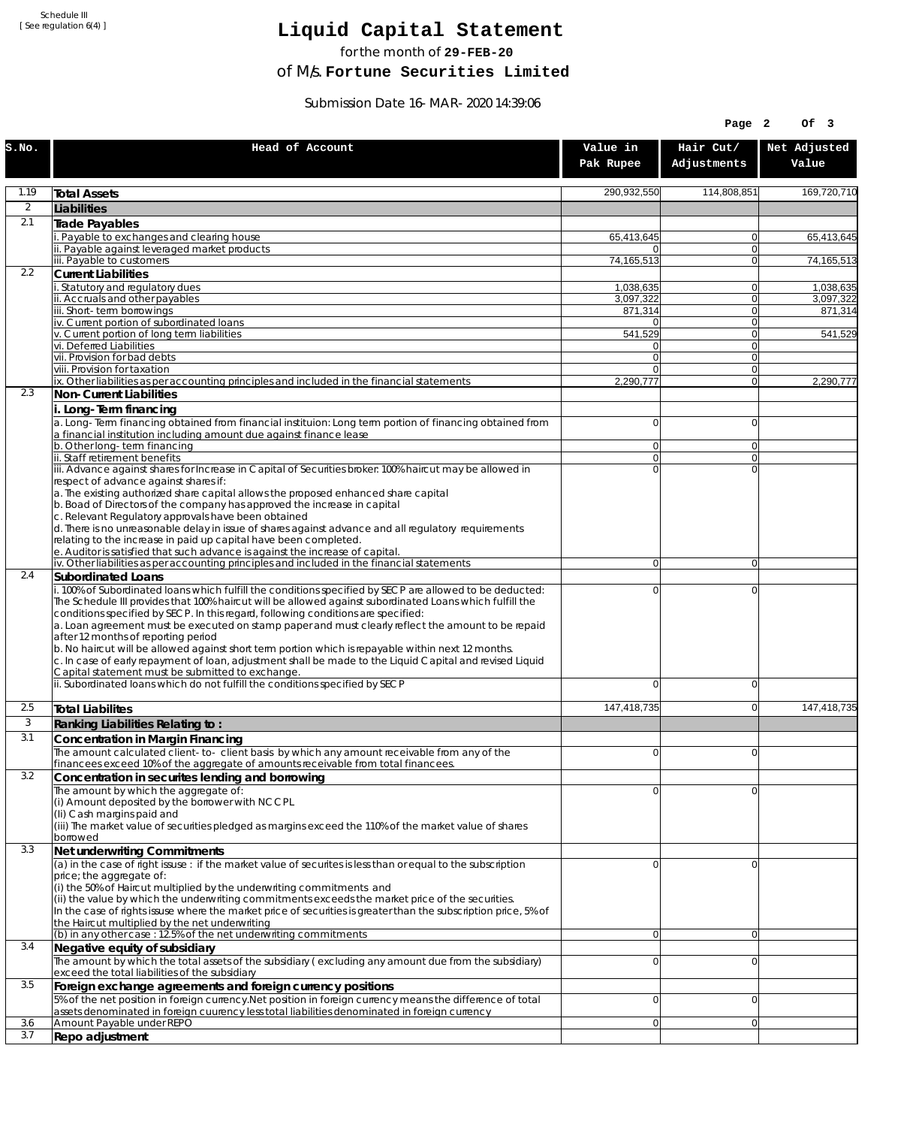Schedule III [ See regulation 6(4) ]

## **Liquid Capital Statement**

for the month of **29-FEB-20**

of M/s. **Fortune Securities Limited**

Submission Date 16-MAR-2020 14:39:06

|              |                                                                                                                                                                                                                                                                                                                                                                                                                                                                                                                                                                                                                                                                                                                                                                                                             |                       | Page 2                     | Of 3                  |
|--------------|-------------------------------------------------------------------------------------------------------------------------------------------------------------------------------------------------------------------------------------------------------------------------------------------------------------------------------------------------------------------------------------------------------------------------------------------------------------------------------------------------------------------------------------------------------------------------------------------------------------------------------------------------------------------------------------------------------------------------------------------------------------------------------------------------------------|-----------------------|----------------------------|-----------------------|
| S.NO.        | Head of Account                                                                                                                                                                                                                                                                                                                                                                                                                                                                                                                                                                                                                                                                                                                                                                                             | Value in<br>Pak Rupee | Hair Cut/<br>Adjustments   | Net Adjusted<br>Value |
| 1.19         | <b>Total Assets</b>                                                                                                                                                                                                                                                                                                                                                                                                                                                                                                                                                                                                                                                                                                                                                                                         | 290,932,550           | 114,808,851                | 169,720,710           |
| 2            | Liabilities                                                                                                                                                                                                                                                                                                                                                                                                                                                                                                                                                                                                                                                                                                                                                                                                 |                       |                            |                       |
| 2.1          | Trade Payables                                                                                                                                                                                                                                                                                                                                                                                                                                                                                                                                                                                                                                                                                                                                                                                              |                       |                            |                       |
|              | Payable to exchanges and clearing house                                                                                                                                                                                                                                                                                                                                                                                                                                                                                                                                                                                                                                                                                                                                                                     | 65,413,645            | $\overline{0}$             | 65,413,645            |
|              | ii. Payable against leveraged market products<br>iii. Payable to customers                                                                                                                                                                                                                                                                                                                                                                                                                                                                                                                                                                                                                                                                                                                                  | 0<br>74,165,513       | $\overline{0}$<br>$\Omega$ | 74,165,513            |
| 2.2          | <b>Current Liabilities</b>                                                                                                                                                                                                                                                                                                                                                                                                                                                                                                                                                                                                                                                                                                                                                                                  |                       |                            |                       |
|              | . Statutory and regulatory dues                                                                                                                                                                                                                                                                                                                                                                                                                                                                                                                                                                                                                                                                                                                                                                             | 1.038.635             | 0                          | 1,038,635             |
|              | ii. Accruals and other payables<br>iii. Short-term borrowings                                                                                                                                                                                                                                                                                                                                                                                                                                                                                                                                                                                                                                                                                                                                               | 3,097,322<br>871,314  | $\Omega$<br> 0             | 3,097,322<br>871,314  |
|              | iv. Current portion of subordinated loans                                                                                                                                                                                                                                                                                                                                                                                                                                                                                                                                                                                                                                                                                                                                                                   |                       | $\Omega$                   |                       |
|              | v. Current portion of long term liabilities                                                                                                                                                                                                                                                                                                                                                                                                                                                                                                                                                                                                                                                                                                                                                                 | 541,529               | $\Omega$                   | 541,529               |
|              | vi. Deferred Liabilities<br>vii. Provision for bad debts                                                                                                                                                                                                                                                                                                                                                                                                                                                                                                                                                                                                                                                                                                                                                    | 0<br>$\overline{0}$   | 0 <br>$\Omega$             |                       |
|              | viii. Provision for taxation                                                                                                                                                                                                                                                                                                                                                                                                                                                                                                                                                                                                                                                                                                                                                                                | 0                     | 0                          |                       |
|              | ix. Other liabilities as per accounting principles and included in the financial statements                                                                                                                                                                                                                                                                                                                                                                                                                                                                                                                                                                                                                                                                                                                 | 2,290,777             | $\Omega$                   | 2,290,777             |
| 2.3          | Non-Current Liabilities                                                                                                                                                                                                                                                                                                                                                                                                                                                                                                                                                                                                                                                                                                                                                                                     |                       |                            |                       |
|              | i. Long-Term financing<br>a. Long-Term financing obtained from financial instituion: Long term portion of financing obtained from<br>a financial institution including amount due against finance lease                                                                                                                                                                                                                                                                                                                                                                                                                                                                                                                                                                                                     | $\overline{0}$        | $\Omega$                   |                       |
|              | b. Other long-term financing<br>ii. Staff retirement benefits                                                                                                                                                                                                                                                                                                                                                                                                                                                                                                                                                                                                                                                                                                                                               | 0<br>$\overline{0}$   | $\Omega$<br>$\Omega$       |                       |
|              | iii. Advance against shares for Increase in Capital of Securities broker: 100% haircut may be allowed in                                                                                                                                                                                                                                                                                                                                                                                                                                                                                                                                                                                                                                                                                                    | $\Omega$              | $\Omega$                   |                       |
|              | respect of advance against shares if:<br>a. The existing authorized share capital allows the proposed enhanced share capital<br>b. Boad of Directors of the company has approved the increase in capital<br>c. Relevant Regulatory approvals have been obtained<br>d. There is no unreasonable delay in issue of shares against advance and all regulatory requirements<br>relating to the increase in paid up capital have been completed.<br>e. Auditor is satisfied that such advance is against the increase of capital.                                                                                                                                                                                                                                                                                |                       |                            |                       |
|              | iv. Other liabilities as per accounting principles and included in the financial statements                                                                                                                                                                                                                                                                                                                                                                                                                                                                                                                                                                                                                                                                                                                 | $\overline{0}$        | $\overline{0}$             |                       |
| 2.4          | Subordinated Loans                                                                                                                                                                                                                                                                                                                                                                                                                                                                                                                                                                                                                                                                                                                                                                                          |                       |                            |                       |
|              | . 100% of Subordinated loans which fulfill the conditions specified by SECP are allowed to be deducted:<br>The Schedule III provides that 100% haircut will be allowed against subordinated Loans which fulfill the<br>conditions specified by SECP. In this regard, following conditions are specified:<br>a. Loan agreement must be executed on stamp paper and must clearly reflect the amount to be repaid<br>after 12 months of reporting period<br>b. No haircut will be allowed against short term portion which is repayable within next 12 months.<br>c. In case of early repayment of loan, adjustment shall be made to the Liquid Capital and revised Liquid<br>Capital statement must be submitted to exchange.<br>ii. Subordinated loans which do not fulfill the conditions specified by SECP | 0<br>$\Omega$         | $\mathbf 0$<br>$\mathbf 0$ |                       |
| 2.5          | <b>Total Liabilites</b>                                                                                                                                                                                                                                                                                                                                                                                                                                                                                                                                                                                                                                                                                                                                                                                     | 147,418,735           | $\mathbf 0$                | 147,418,735           |
| $\mathbf{3}$ | Ranking Liabilities Relating to:                                                                                                                                                                                                                                                                                                                                                                                                                                                                                                                                                                                                                                                                                                                                                                            |                       |                            |                       |
| 3.1          | Concentration in Margin Financing                                                                                                                                                                                                                                                                                                                                                                                                                                                                                                                                                                                                                                                                                                                                                                           |                       |                            |                       |
|              | The amount calculated client-to-client basis by which any amount receivable from any of the                                                                                                                                                                                                                                                                                                                                                                                                                                                                                                                                                                                                                                                                                                                 | $\Omega$              | $\Omega$                   |                       |
|              | financees exceed 10% of the aggregate of amounts receivable from total financees.                                                                                                                                                                                                                                                                                                                                                                                                                                                                                                                                                                                                                                                                                                                           |                       |                            |                       |
| 3.2          | Concentration in securites lending and borrowing                                                                                                                                                                                                                                                                                                                                                                                                                                                                                                                                                                                                                                                                                                                                                            | 0                     | $\Omega$                   |                       |
|              | The amount by which the aggregate of:<br>(i) Amount deposited by the borrower with NCCPL<br>(Ii) Cash margins paid and<br>(iii) The market value of securities pledged as margins exceed the 110% of the market value of shares<br>borrowed                                                                                                                                                                                                                                                                                                                                                                                                                                                                                                                                                                 |                       |                            |                       |
| 3.3          | Net underwriting Commitments                                                                                                                                                                                                                                                                                                                                                                                                                                                                                                                                                                                                                                                                                                                                                                                |                       |                            |                       |
|              | (a) in the case of right issuse : if the market value of securites is less than or equal to the subscription<br>price; the aggregate of:<br>(i) the 50% of Haircut multiplied by the underwriting commitments and<br>(ii) the value by which the underwriting commitments exceeds the market price of the securities.<br>In the case of rights issuse where the market price of securities is greater than the subscription price, 5% of<br>the Haircut multiplied by the net underwriting                                                                                                                                                                                                                                                                                                                  | 0                     | $\Omega$                   |                       |
| 3.4          | (b) in any other case : 12.5% of the net underwriting commitments<br>Negative equity of subsidiary                                                                                                                                                                                                                                                                                                                                                                                                                                                                                                                                                                                                                                                                                                          | $\overline{0}$        | $\overline{0}$             |                       |
|              | The amount by which the total assets of the subsidiary (excluding any amount due from the subsidiary)<br>exceed the total liabilities of the subsidiary                                                                                                                                                                                                                                                                                                                                                                                                                                                                                                                                                                                                                                                     | 0                     | $\Omega$                   |                       |
| 3.5          | Foreign exchange agreements and foreign currency positions                                                                                                                                                                                                                                                                                                                                                                                                                                                                                                                                                                                                                                                                                                                                                  |                       |                            |                       |
|              | 5% of the net position in foreign currency. Net position in foreign currency means the difference of total<br>assets denominated in foreign cuurency less total liabilities denominated in foreign currency                                                                                                                                                                                                                                                                                                                                                                                                                                                                                                                                                                                                 | 0                     | $\mathbf 0$                |                       |
| 3.6          | Amount Payable under REPO                                                                                                                                                                                                                                                                                                                                                                                                                                                                                                                                                                                                                                                                                                                                                                                   | 0                     | $\Omega$                   |                       |
| 3.7          | Repo adjustment                                                                                                                                                                                                                                                                                                                                                                                                                                                                                                                                                                                                                                                                                                                                                                                             |                       |                            |                       |